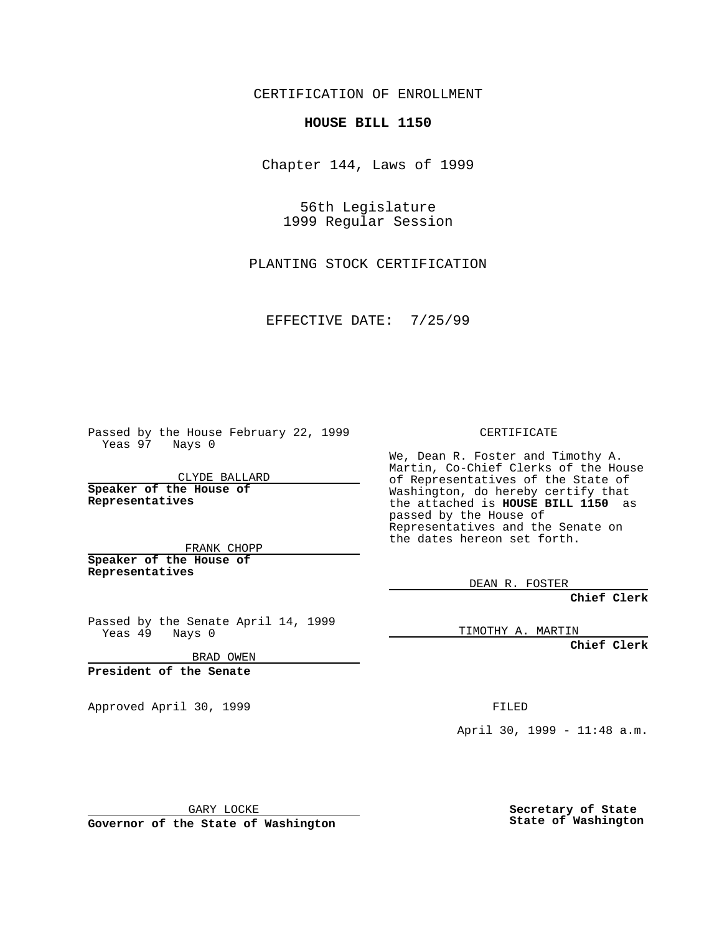CERTIFICATION OF ENROLLMENT

## **HOUSE BILL 1150**

Chapter 144, Laws of 1999

56th Legislature 1999 Regular Session

PLANTING STOCK CERTIFICATION

EFFECTIVE DATE: 7/25/99

Passed by the House February 22, 1999 Yeas 97 Nays 0

CLYDE BALLARD **Speaker of the House of Representatives**

FRANK CHOPP **Speaker of the House of Representatives**

Passed by the Senate April 14, 1999 Yeas 49 Nays 0

BRAD OWEN

**President of the Senate**

Approved April 30, 1999 **FILED** 

## CERTIFICATE

We, Dean R. Foster and Timothy A. Martin, Co-Chief Clerks of the House of Representatives of the State of Washington, do hereby certify that the attached is **HOUSE BILL 1150** as passed by the House of Representatives and the Senate on the dates hereon set forth.

DEAN R. FOSTER

**Chief Clerk**

TIMOTHY A. MARTIN

**Chief Clerk**

April 30, 1999 - 11:48 a.m.

GARY LOCKE

**Governor of the State of Washington**

**Secretary of State State of Washington**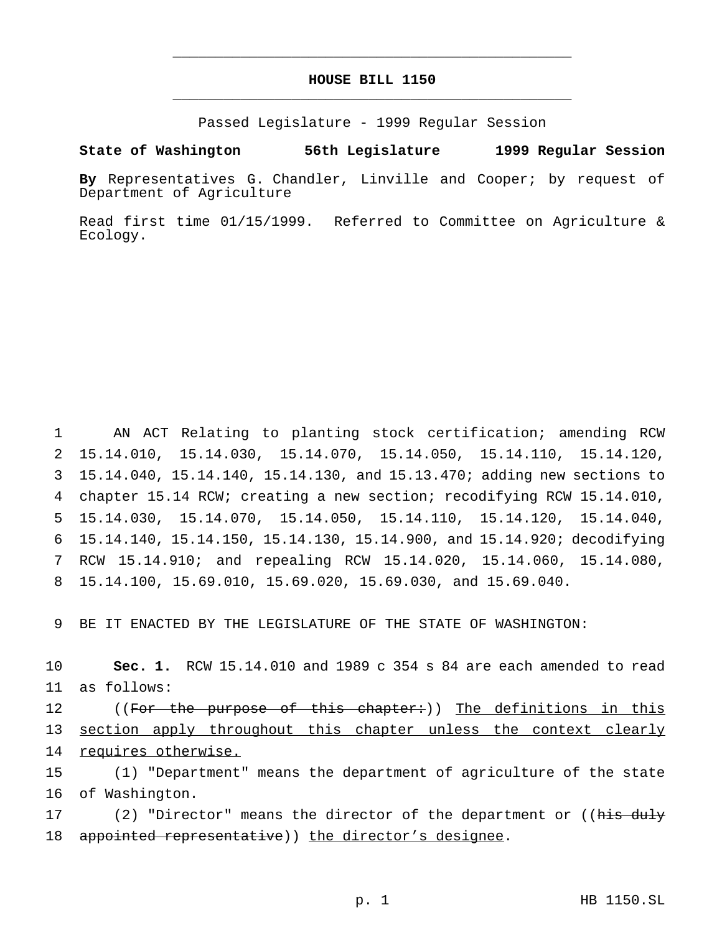## **HOUSE BILL 1150** \_\_\_\_\_\_\_\_\_\_\_\_\_\_\_\_\_\_\_\_\_\_\_\_\_\_\_\_\_\_\_\_\_\_\_\_\_\_\_\_\_\_\_\_\_\_\_

\_\_\_\_\_\_\_\_\_\_\_\_\_\_\_\_\_\_\_\_\_\_\_\_\_\_\_\_\_\_\_\_\_\_\_\_\_\_\_\_\_\_\_\_\_\_\_

Passed Legislature - 1999 Regular Session

## **State of Washington 56th Legislature 1999 Regular Session**

**By** Representatives G. Chandler, Linville and Cooper; by request of Department of Agriculture

Read first time 01/15/1999. Referred to Committee on Agriculture & Ecology.

 AN ACT Relating to planting stock certification; amending RCW 15.14.010, 15.14.030, 15.14.070, 15.14.050, 15.14.110, 15.14.120, 15.14.040, 15.14.140, 15.14.130, and 15.13.470; adding new sections to chapter 15.14 RCW; creating a new section; recodifying RCW 15.14.010, 15.14.030, 15.14.070, 15.14.050, 15.14.110, 15.14.120, 15.14.040, 15.14.140, 15.14.150, 15.14.130, 15.14.900, and 15.14.920; decodifying RCW 15.14.910; and repealing RCW 15.14.020, 15.14.060, 15.14.080, 15.14.100, 15.69.010, 15.69.020, 15.69.030, and 15.69.040.

9 BE IT ENACTED BY THE LEGISLATURE OF THE STATE OF WASHINGTON:

10 **Sec. 1.** RCW 15.14.010 and 1989 c 354 s 84 are each amended to read 11 as follows:

12 ((For the purpose of this chapter:)) The definitions in this 13 section apply throughout this chapter unless the context clearly 14 requires otherwise.

15 (1) "Department" means the department of agriculture of the state 16 of Washington.

17 (2) "Director" means the director of the department or ((his duly 18 appointed representative)) the director's designee.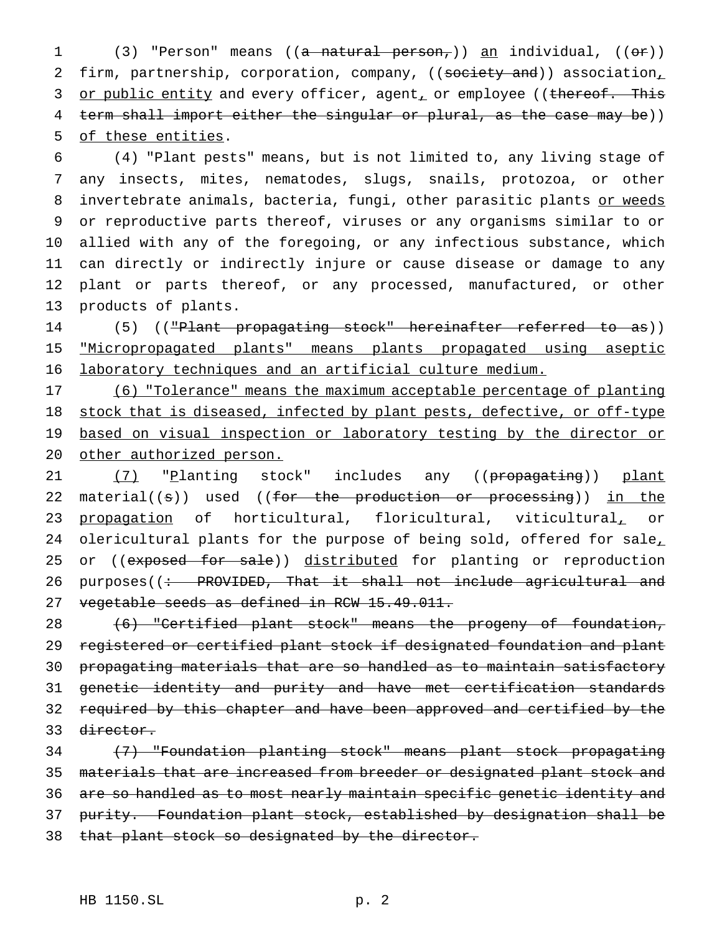1 (3) "Person" means ((<del>a natural person,</del>)) <u>an</u> individual, (( $\Theta$ r)) 2 firm, partnership, corporation, company, ((society and)) association, 3 or public entity and every officer, agent, or employee ((thereof. This 4 term shall import either the singular or plural, as the case may be)) 5 of these entities.

 (4) "Plant pests" means, but is not limited to, any living stage of any insects, mites, nematodes, slugs, snails, protozoa, or other 8 invertebrate animals, bacteria, fungi, other parasitic plants or weeds or reproductive parts thereof, viruses or any organisms similar to or allied with any of the foregoing, or any infectious substance, which can directly or indirectly injure or cause disease or damage to any plant or parts thereof, or any processed, manufactured, or other products of plants.

14 (5) (("Plant propagating stock" hereinafter referred to as)) 15 "Micropropagated plants" means plants propagated using aseptic 16 laboratory techniques and an artificial culture medium.

17 (6) "Tolerance" means the maximum acceptable percentage of planting 18 stock that is diseased, infected by plant pests, defective, or off-type 19 based on visual inspection or laboratory testing by the director or 20 other authorized person.

21 (7) "Planting stock" includes any ((propagating)) plant 22 material((s)) used ((for the production or processing)) in the 23 propagation of horticultural, floricultural, viticultural, or 24 olericultural plants for the purpose of being sold, offered for sale, 25 or ((exposed for sale)) distributed for planting or reproduction 26 purposes((: PROVIDED, That it shall not include agricultural and 27 vegetable seeds as defined in RCW 15.49.011.

 (6) "Certified plant stock" means the progeny of foundation, registered or certified plant stock if designated foundation and plant propagating materials that are so handled as to maintain satisfactory genetic identity and purity and have met certification standards required by this chapter and have been approved and certified by the director.

34 (7) "Foundation planting stock" means plant stock propagating 35 materials that are increased from breeder or designated plant stock and 36 are so handled as to most nearly maintain specific genetic identity and 37 purity. Foundation plant stock, established by designation shall be 38 that plant stock so designated by the director.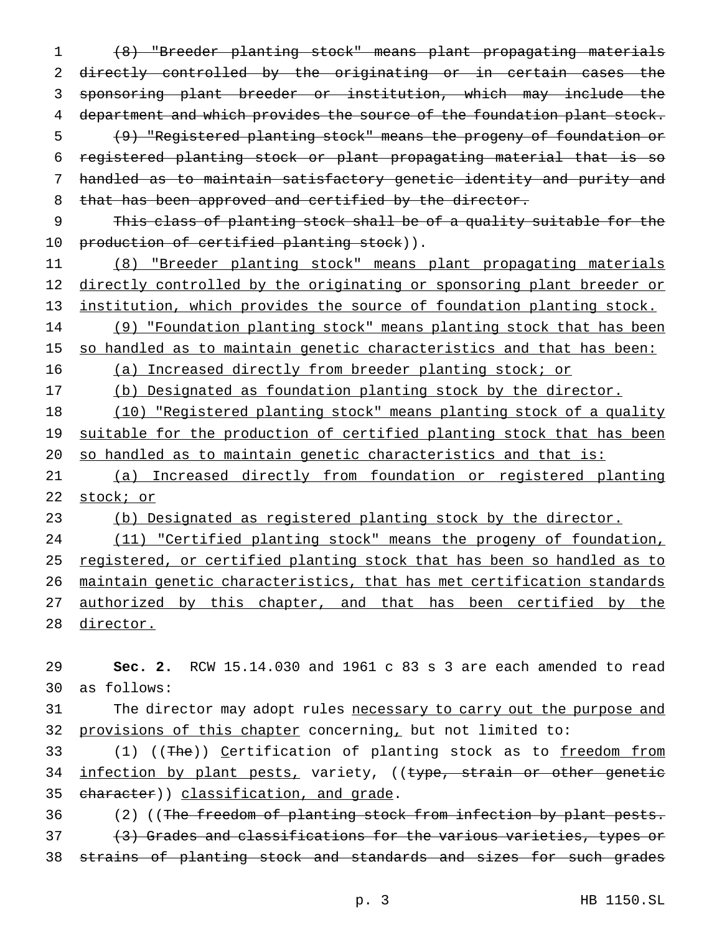(8) "Breeder planting stock" means plant propagating materials directly controlled by the originating or in certain cases the sponsoring plant breeder or institution, which may include the 4 department and which provides the source of the foundation plant stock. (9) "Registered planting stock" means the progeny of foundation or registered planting stock or plant propagating material that is so handled as to maintain satisfactory genetic identity and purity and 8 that has been approved and certified by the director.

9 This class of planting stock shall be of a quality suitable for the 10 production of certified planting stock)).

11 (8) "Breeder planting stock" means plant propagating materials 12 directly controlled by the originating or sponsoring plant breeder or 13 institution, which provides the source of foundation planting stock.

14 (9) "Foundation planting stock" means planting stock that has been

15 so handled as to maintain genetic characteristics and that has been:

16 (a) Increased directly from breeder planting stock; or

17 (b) Designated as foundation planting stock by the director.

18 (10) "Registered planting stock" means planting stock of a quality 19 suitable for the production of certified planting stock that has been 20 so handled as to maintain genetic characteristics and that is:

21 (a) Increased directly from foundation or registered planting 22 stock; or

23 (b) Designated as registered planting stock by the director.

24 (11) "Certified planting stock" means the progeny of foundation, 25 registered, or certified planting stock that has been so handled as to 26 maintain genetic characteristics, that has met certification standards 27 authorized by this chapter, and that has been certified by the 28 director.

29 **Sec. 2.** RCW 15.14.030 and 1961 c 83 s 3 are each amended to read 30 as follows:

31 The director may adopt rules necessary to carry out the purpose and 32 provisions of this chapter concerning, but not limited to:

33 (1) ((The)) Certification of planting stock as to freedom from 34 infection by plant pests, variety, ((type, strain or other genetic 35 character)) classification, and grade.

36 (2) ((The freedom of planting stock from infection by plant pests. 37 (3) Grades and classifications for the various varieties, types or 38 strains of planting stock and standards and sizes for such grades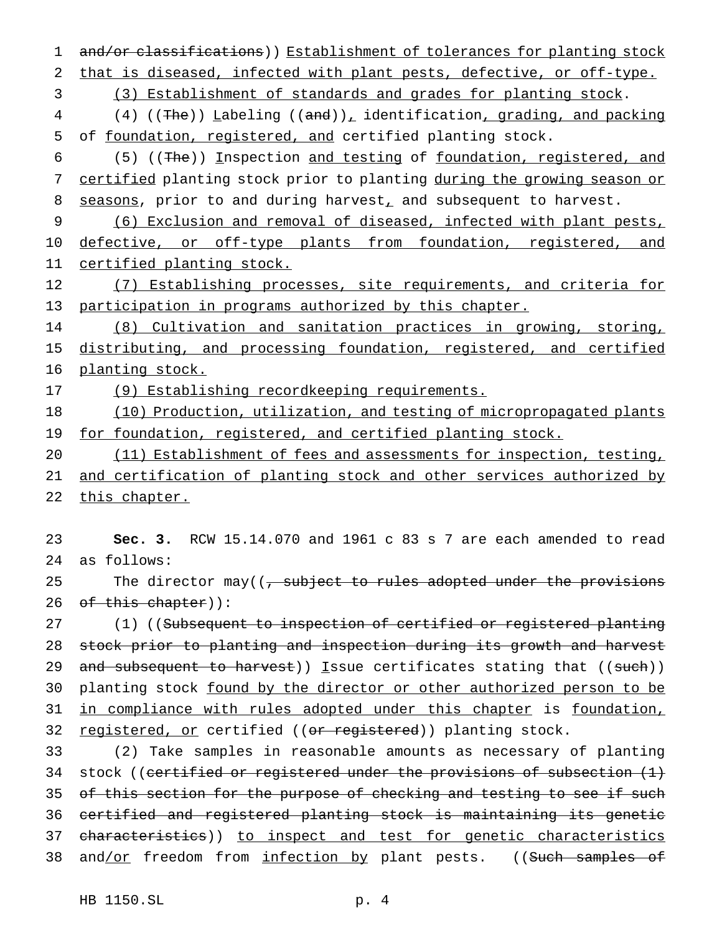1 and/or classifications)) Establishment of tolerances for planting stock 2 that is diseased, infected with plant pests, defective, or off-type. 3 (3) Establishment of standards and grades for planting stock. 4 (4) ((The)) Labeling ((and)), identification, grading, and packing 5 of foundation, registered, and certified planting stock. 6 (5) ((The)) Inspection and testing of foundation, registered, and 7 certified planting stock prior to planting during the growing season or 8 seasons, prior to and during harvest, and subsequent to harvest. 9 (6) Exclusion and removal of diseased, infected with plant pests, 10 defective, or off-type plants from foundation, registered, and 11 certified planting stock. 12 (7) Establishing processes, site requirements, and criteria for 13 participation in programs authorized by this chapter. 14 (8) Cultivation and sanitation practices in growing, storing, 15 distributing, and processing foundation, registered, and certified 16 planting stock. 17 (9) Establishing recordkeeping requirements. 18 (10) Production, utilization, and testing of micropropagated plants 19 for foundation, registered, and certified planting stock. 20 (11) Establishment of fees and assessments for inspection, testing, 21 and certification of planting stock and other services authorized by 22 this chapter. 23 **Sec. 3.** RCW 15.14.070 and 1961 c 83 s 7 are each amended to read 24 as follows: 25 The director may( $\left(\frac{1}{2}, \frac{1}{2}, \frac{1}{2}\right)$  and  $\frac{1}{2}$  adopted under the provisions 26 of this chapter)): 27 (1) ((Subsequent to inspection of certified or registered planting 28 stock prior to planting and inspection during its growth and harvest 29 and subsequent to harvest)) Issue certificates stating that  $((such)$ ) 30 planting stock found by the director or other authorized person to be 31 in compliance with rules adopted under this chapter is foundation, 32 registered, or certified ((or registered)) planting stock. 33 (2) Take samples in reasonable amounts as necessary of planting 34 stock ((certified or registered under the provisions of subsection  $(1)$ 35 of this section for the purpose of checking and testing to see if such 36 certified and registered planting stock is maintaining its genetic 37 characteristics)) to inspect and test for genetic characteristics

38 and/or freedom from infection by plant pests. ((Such samples of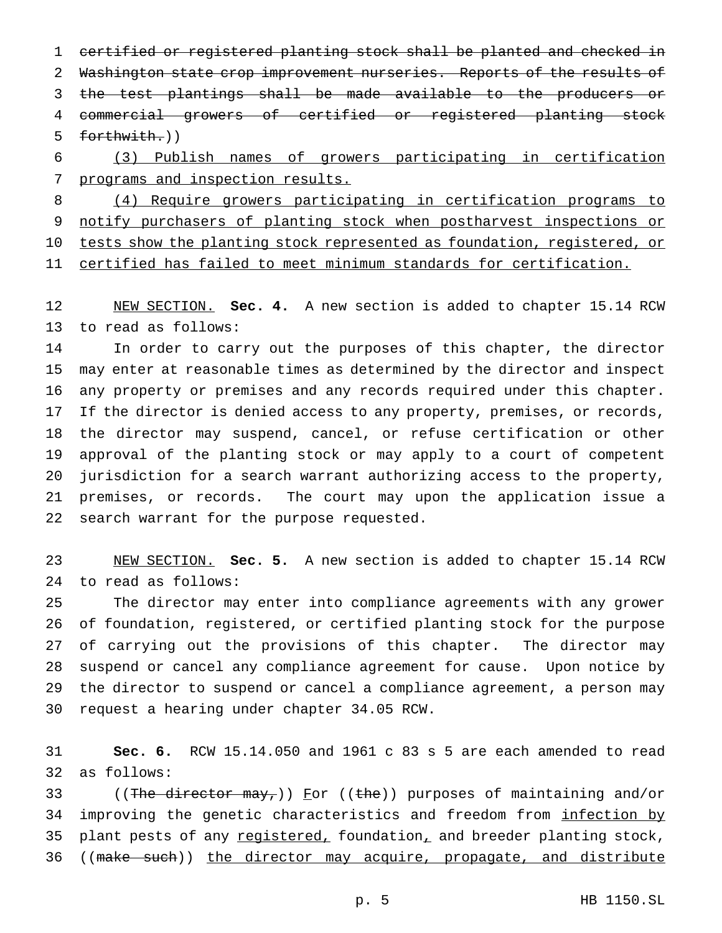certified or registered planting stock shall be planted and checked in Washington state crop improvement nurseries. Reports of the results of the test plantings shall be made available to the producers or commercial growers of certified or registered planting stock forthwith.))

 (3) Publish names of growers participating in certification 7 programs and inspection results.

 (4) Require growers participating in certification programs to notify purchasers of planting stock when postharvest inspections or 10 tests show the planting stock represented as foundation, registered, or certified has failed to meet minimum standards for certification.

 NEW SECTION. **Sec. 4.** A new section is added to chapter 15.14 RCW to read as follows:

 In order to carry out the purposes of this chapter, the director may enter at reasonable times as determined by the director and inspect any property or premises and any records required under this chapter. If the director is denied access to any property, premises, or records, the director may suspend, cancel, or refuse certification or other approval of the planting stock or may apply to a court of competent jurisdiction for a search warrant authorizing access to the property, premises, or records. The court may upon the application issue a search warrant for the purpose requested.

 NEW SECTION. **Sec. 5.** A new section is added to chapter 15.14 RCW to read as follows:

 The director may enter into compliance agreements with any grower of foundation, registered, or certified planting stock for the purpose of carrying out the provisions of this chapter. The director may suspend or cancel any compliance agreement for cause. Upon notice by the director to suspend or cancel a compliance agreement, a person may request a hearing under chapter 34.05 RCW.

 **Sec. 6.** RCW 15.14.050 and 1961 c 83 s 5 are each amended to read as follows:

33 ((The director  $\text{max}_T$ )) For ((the)) purposes of maintaining and/or 34 improving the genetic characteristics and freedom from infection by 35 plant pests of any registered, foundation, and breeder planting stock, 36 ((make such)) the director may acquire, propagate, and distribute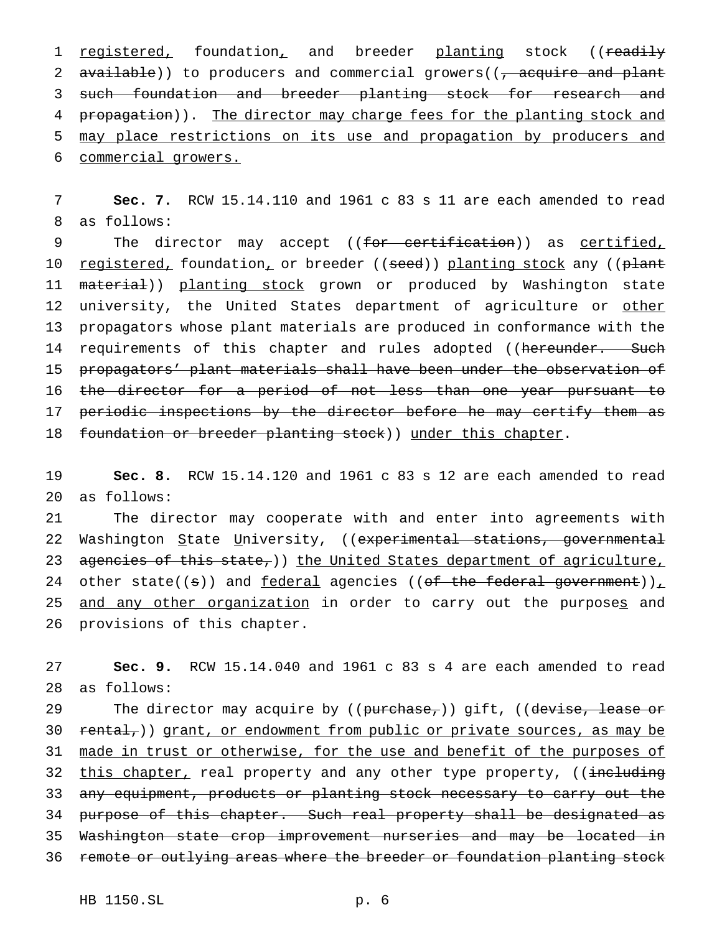1 registered, foundation, and breeder planting stock ((readily 2 available)) to producers and commercial growers((, acquire and plant 3 such foundation and breeder planting stock for research and 4 propagation)). The director may charge fees for the planting stock and 5 may place restrictions on its use and propagation by producers and 6 commercial growers.

7 **Sec. 7.** RCW 15.14.110 and 1961 c 83 s 11 are each amended to read 8 as follows:

9 The director may accept ((<del>for certification</del>)) as <u>certified,</u> 10 <u>registered,</u> foundation, or breeder ((seed)) planting stock any ((plant 11 material)) planting stock grown or produced by Washington state 12 university, the United States department of agriculture or other 13 propagators whose plant materials are produced in conformance with the 14 requirements of this chapter and rules adopted ((hereunder. Such 15 propagators' plant materials shall have been under the observation of 16 the director for a period of not less than one year pursuant to 17 periodic inspections by the director before he may certify them as 18 foundation or breeder planting stock)) under this chapter.

19 **Sec. 8.** RCW 15.14.120 and 1961 c 83 s 12 are each amended to read 20 as follows:

21 The director may cooperate with and enter into agreements with 22 Washington State University, ((experimental stations, governmental 23 agencies of this state,)) the United States department of agriculture, 24 other state((s)) and  $federal$  agencies ((of the federal government))<sub> $\perp$ </sub></u> 25 and any other organization in order to carry out the purposes and 26 provisions of this chapter.

27 **Sec. 9.** RCW 15.14.040 and 1961 c 83 s 4 are each amended to read 28 as follows:

29 The director may acquire by ((purchase,)) gift, ((devise, lease or 30 rental,)) grant, or endowment from public or private sources, as may be 31 made in trust or otherwise, for the use and benefit of the purposes of 32 this chapter, real property and any other type property, ((including 33 any equipment, products or planting stock necessary to carry out the 34 purpose of this chapter. Such real property shall be designated as 35 Washington state crop improvement nurseries and may be located in 36 remote or outlying areas where the breeder or foundation planting stock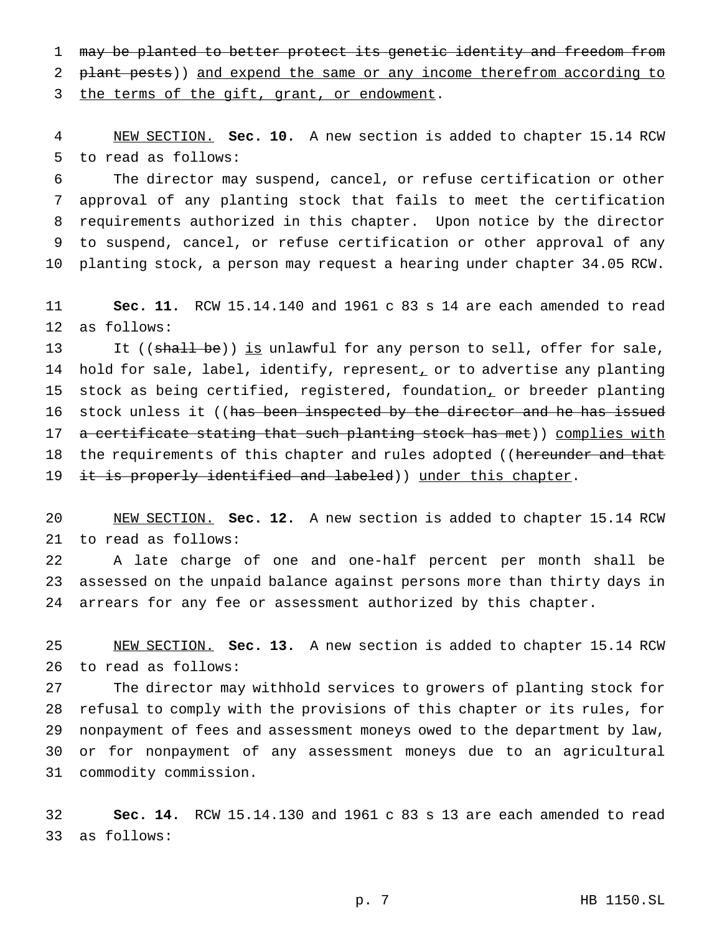may be planted to better protect its genetic identity and freedom from 2 plant pests)) and expend the same or any income therefrom according to

3 the terms of the gift, grant, or endowment.

 NEW SECTION. **Sec. 10.** A new section is added to chapter 15.14 RCW to read as follows:

 The director may suspend, cancel, or refuse certification or other approval of any planting stock that fails to meet the certification requirements authorized in this chapter. Upon notice by the director to suspend, cancel, or refuse certification or other approval of any planting stock, a person may request a hearing under chapter 34.05 RCW.

 **Sec. 11.** RCW 15.14.140 and 1961 c 83 s 14 are each amended to read as follows:

13 It ((shall be)) is unlawful for any person to sell, offer for sale, 14 hold for sale, label, identify, represent, or to advertise any planting 15 stock as being certified, registered, foundation, or breeder planting 16 stock unless it ((has been inspected by the director and he has issued 17 a certificate stating that such planting stock has met)) complies with 18 the requirements of this chapter and rules adopted ((hereunder and that 19 <del>it is properly identified and labeled</del>)) <u>under this chapter</u>.

 NEW SECTION. **Sec. 12.** A new section is added to chapter 15.14 RCW to read as follows:

 A late charge of one and one-half percent per month shall be assessed on the unpaid balance against persons more than thirty days in arrears for any fee or assessment authorized by this chapter.

 NEW SECTION. **Sec. 13.** A new section is added to chapter 15.14 RCW to read as follows:

 The director may withhold services to growers of planting stock for refusal to comply with the provisions of this chapter or its rules, for nonpayment of fees and assessment moneys owed to the department by law, or for nonpayment of any assessment moneys due to an agricultural commodity commission.

 **Sec. 14.** RCW 15.14.130 and 1961 c 83 s 13 are each amended to read as follows: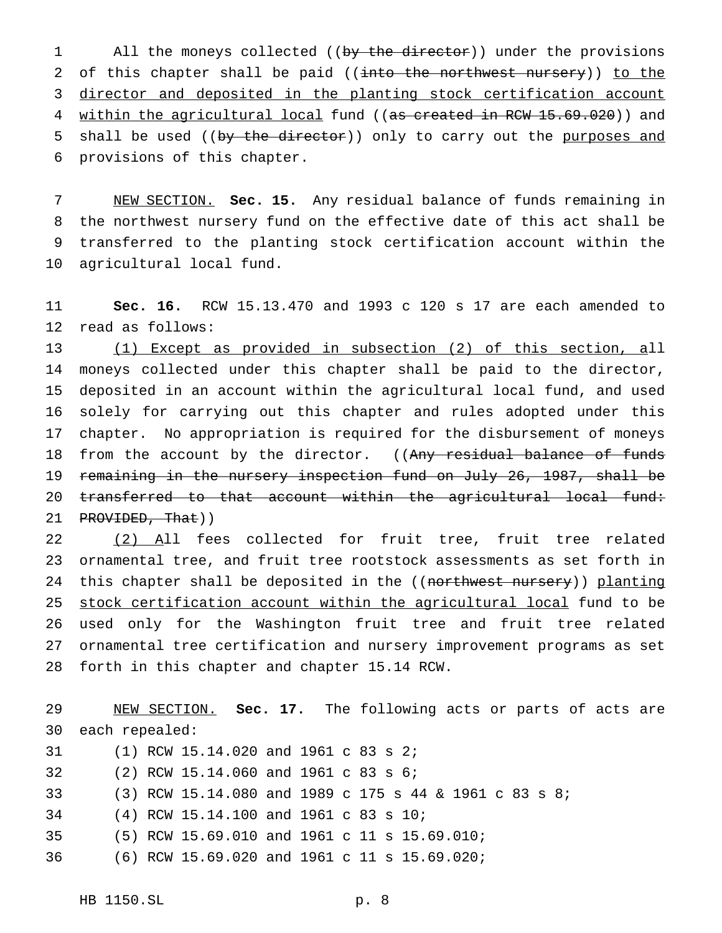1 All the moneys collected ((by the director)) under the provisions 2 of this chapter shall be paid ((into the northwest nursery)) to the 3 director and deposited in the planting stock certification account 4 within the agricultural local fund ((as created in RCW 15.69.020)) and 5 shall be used ((by the director)) only to carry out the purposes and provisions of this chapter.

 NEW SECTION. **Sec. 15.** Any residual balance of funds remaining in the northwest nursery fund on the effective date of this act shall be transferred to the planting stock certification account within the agricultural local fund.

 **Sec. 16.** RCW 15.13.470 and 1993 c 120 s 17 are each amended to read as follows:

 (1) Except as provided in subsection (2) of this section, all moneys collected under this chapter shall be paid to the director, deposited in an account within the agricultural local fund, and used solely for carrying out this chapter and rules adopted under this chapter. No appropriation is required for the disbursement of moneys 18 from the account by the director. ((Any residual balance of funds 19 remaining in the nursery inspection fund on July 26, 1987, shall be transferred to that account within the agricultural local fund: 21 PROVIDED, That))

 (2) All fees collected for fruit tree, fruit tree related ornamental tree, and fruit tree rootstock assessments as set forth in 24 this chapter shall be deposited in the ((northwest nursery)) planting stock certification account within the agricultural local fund to be used only for the Washington fruit tree and fruit tree related ornamental tree certification and nursery improvement programs as set forth in this chapter and chapter 15.14 RCW.

 NEW SECTION. **Sec. 17.** The following acts or parts of acts are each repealed: (1) RCW 15.14.020 and 1961 c 83 s 2; (2) RCW 15.14.060 and 1961 c 83 s 6; (3) RCW 15.14.080 and 1989 c 175 s 44 & 1961 c 83 s 8; (4) RCW 15.14.100 and 1961 c 83 s 10; (5) RCW 15.69.010 and 1961 c 11 s 15.69.010; (6) RCW 15.69.020 and 1961 c 11 s 15.69.020;